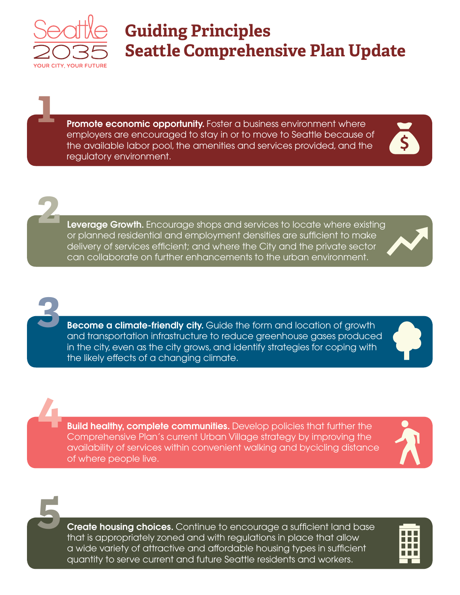

**1**

**2**

**3**

**4**

## **Guiding Principles Seattle Comprehensive Plan Update**

**Promote economic opportunity.** Foster a business environment where employers are encouraged to stay in or to move to Seattle because of the available labor pool, the amenities and services provided, and the regulatory environment.



**Leverage Growth.** Encourage shops and services to locate where existing or planned residential and employment densities are sufficient to make delivery of services efficient; and where the City and the private sector can collaborate on further enhancements to the urban environment.

**Become a climate-friendly city.** Guide the form and location of growth and transportation infrastructure to reduce greenhouse gases produced in the city, even as the city grows, and identify strategies for coping with the likely effects of a changing climate.

**Build healthy, complete communities.** Develop policies that further the Comprehensive Plan's current Urban Village strategy by improving the availability of services within convenient walking and bycicling distance of where people live.



**5**

**Create housing choices.** Continue to encourage a sufficient land base that is appropriately zoned and with regulations in place that allow a wide variety of attractive and affordable housing types in sufficient quantity to serve current and future Seattle residents and workers.